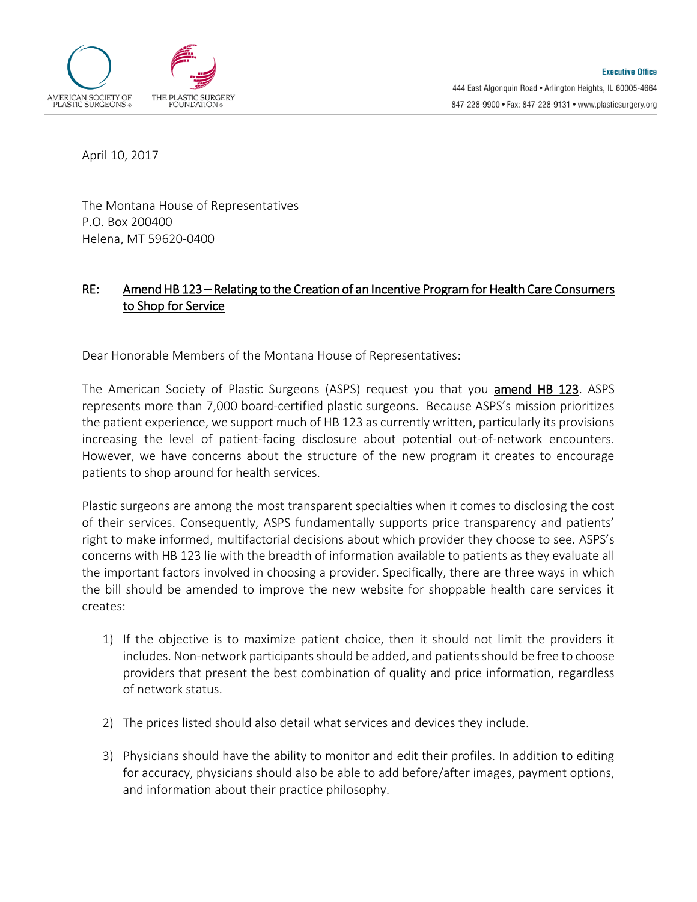

April 10, 2017

The Montana House of Representatives P.O. Box 200400 Helena, MT 59620-0400

## RE: Amend HB 123 – Relating to the Creation of an Incentive Program for Health Care Consumers to Shop for Service

Dear Honorable Members of the Montana House of Representatives:

The American Society of Plastic Surgeons (ASPS) request you that you amend HB 123. ASPS represents more than 7,000 board-certified plastic surgeons. Because ASPS's mission prioritizes the patient experience, we support much of HB 123 as currently written, particularly its provisions increasing the level of patient-facing disclosure about potential out-of-network encounters. However, we have concerns about the structure of the new program it creates to encourage patients to shop around for health services.

Plastic surgeons are among the most transparent specialties when it comes to disclosing the cost of their services. Consequently, ASPS fundamentally supports price transparency and patients' right to make informed, multifactorial decisions about which provider they choose to see. ASPS's concerns with HB 123 lie with the breadth of information available to patients as they evaluate all the important factors involved in choosing a provider. Specifically, there are three ways in which the bill should be amended to improve the new website for shoppable health care services it creates:

- 1) If the objective is to maximize patient choice, then it should not limit the providers it includes. Non-network participants should be added, and patients should be free to choose providers that present the best combination of quality and price information, regardless of network status.
- 2) The prices listed should also detail what services and devices they include.
- 3) Physicians should have the ability to monitor and edit their profiles. In addition to editing for accuracy, physicians should also be able to add before/after images, payment options, and information about their practice philosophy.